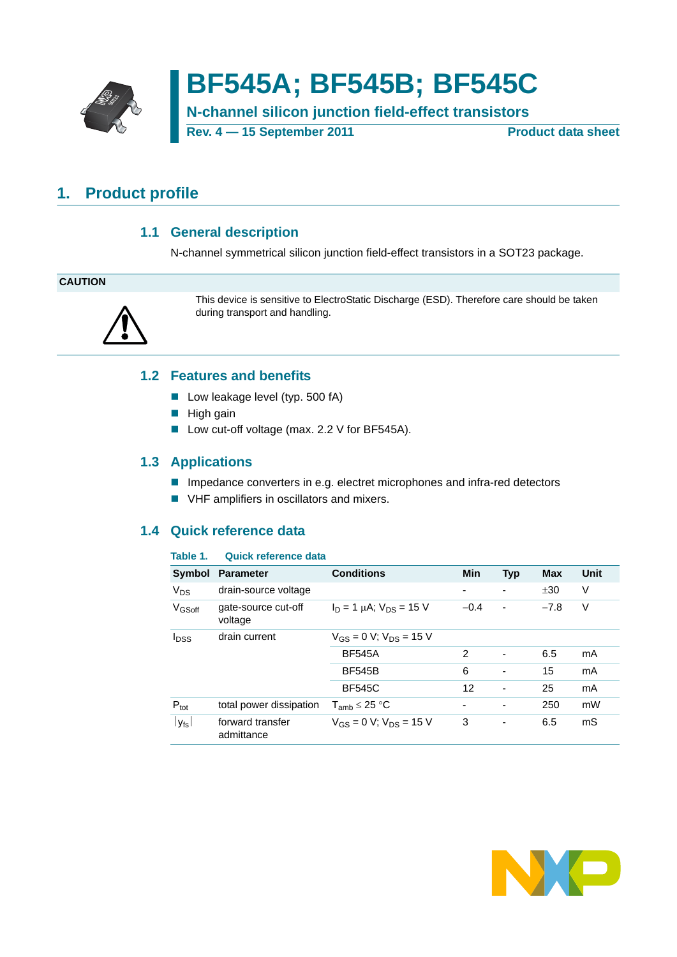

# **BF545A; BF545B; BF545C**

**N-channel silicon junction field-effect transistors**

**Rev. 4 — 15 September 2011 Product data sheet**

## <span id="page-0-1"></span><span id="page-0-0"></span>**1. Product profile**

### **1.1 General description**

N-channel symmetrical silicon junction field-effect transistors in a SOT23 package.

#### **CAUTION**

<span id="page-0-2"></span>

This device is sensitive to ElectroStatic Discharge (ESD). Therefore care should be taken during transport and handling.

#### **1.2 Features and benefits**

- $\blacksquare$  Low leakage level (typ. 500 fA)
- $\blacksquare$  High gain
- Low cut-off voltage (max. 2.2 V for BF545A).

#### <span id="page-0-3"></span>**1.3 Applications**

- **Impedance converters in e.g. electret microphones and infra-red detectors**
- **U VHF amplifiers in oscillators and mixers.**

### <span id="page-0-4"></span>**1.4 Quick reference data**

#### **Table 1. Quick reference data**

| Symbol                  | <b>Parameter</b>               | <b>Conditions</b>                 | Min    | <b>Typ</b>               | <b>Max</b> | Unit |
|-------------------------|--------------------------------|-----------------------------------|--------|--------------------------|------------|------|
| <b>V<sub>DS</sub></b>   | drain-source voltage           |                                   | ٠      | ٠                        | ±30        | V    |
| V <sub>GSoff</sub>      | gate-source cut-off<br>voltage | $I_D = 1 \mu A$ ; $V_{DS} = 15 V$ | $-0.4$ | $\overline{\phantom{a}}$ | $-7.8$     | V    |
| <b>I</b> <sub>DSS</sub> | drain current                  | $V_{GS} = 0 V$ ; $V_{DS} = 15 V$  |        |                          |            |      |
|                         |                                | <b>BF545A</b>                     | 2      | $\overline{\phantom{m}}$ | 6.5        | mA   |
|                         |                                | <b>BF545B</b>                     | 6      | ٠                        | 15         | mA   |
|                         |                                | <b>BF545C</b>                     | 12     | ۰                        | 25         | mA   |
| $P_{\text{tot}}$        | total power dissipation        | $T_{amb} \leq 25 °C$              |        | ٠                        | 250        | mW   |
| $ y_{fs} $              | forward transfer<br>admittance | $V_{GS} = 0$ V; $V_{DS} = 15$ V   | 3      | $\overline{\phantom{m}}$ | 6.5        | mS   |

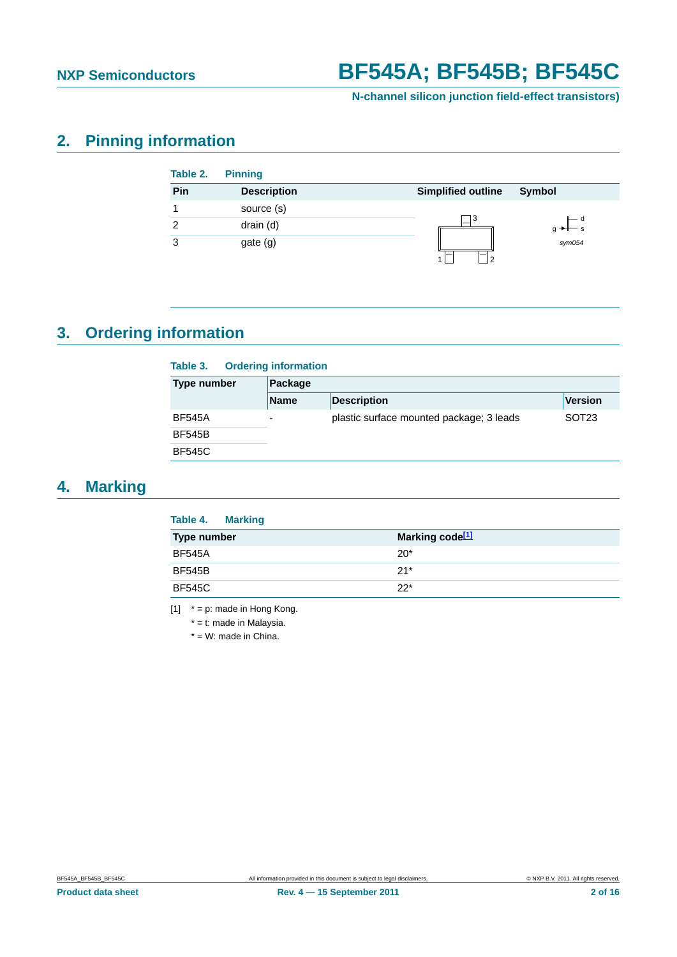**N-channel silicon junction field-effect transistors)**

## <span id="page-1-1"></span>**2. Pinning information**

| Table 2. | <b>Pinning</b>     |                                     |
|----------|--------------------|-------------------------------------|
| Pin      | <b>Description</b> | <b>Simplified outline</b><br>Symbol |
|          | source (s)         |                                     |
| 2        | drain (d)          | — d<br>C، ا                         |
| 3        | gate (g)           | sym054<br>$\sqrt{2}$                |

## <span id="page-1-2"></span>**3. Ordering information**

| Table 3.      | <b>Ordering information</b> |                                          |                   |  |  |
|---------------|-----------------------------|------------------------------------------|-------------------|--|--|
| Type number   | Package                     |                                          |                   |  |  |
|               | <b>Name</b>                 | <b>Description</b>                       | <b>Version</b>    |  |  |
| <b>BF545A</b> | -                           | plastic surface mounted package; 3 leads | SOT <sub>23</sub> |  |  |
| <b>BF545B</b> |                             |                                          |                   |  |  |
| <b>BF545C</b> |                             |                                          |                   |  |  |

## <span id="page-1-3"></span>**4. Marking**

| <b>Table 4. Marking</b> |                             |
|-------------------------|-----------------------------|
| <b>Type number</b>      | Marking code <sup>[1]</sup> |
| <b>BF545A</b>           | $20*$                       |
| <b>BF545B</b>           | $21*$                       |
| <b>BF545C</b>           | $22*$                       |

<span id="page-1-0"></span> $[1]$  \* = p: made in Hong Kong.

\* = t: made in Malaysia.

\* = W: made in China.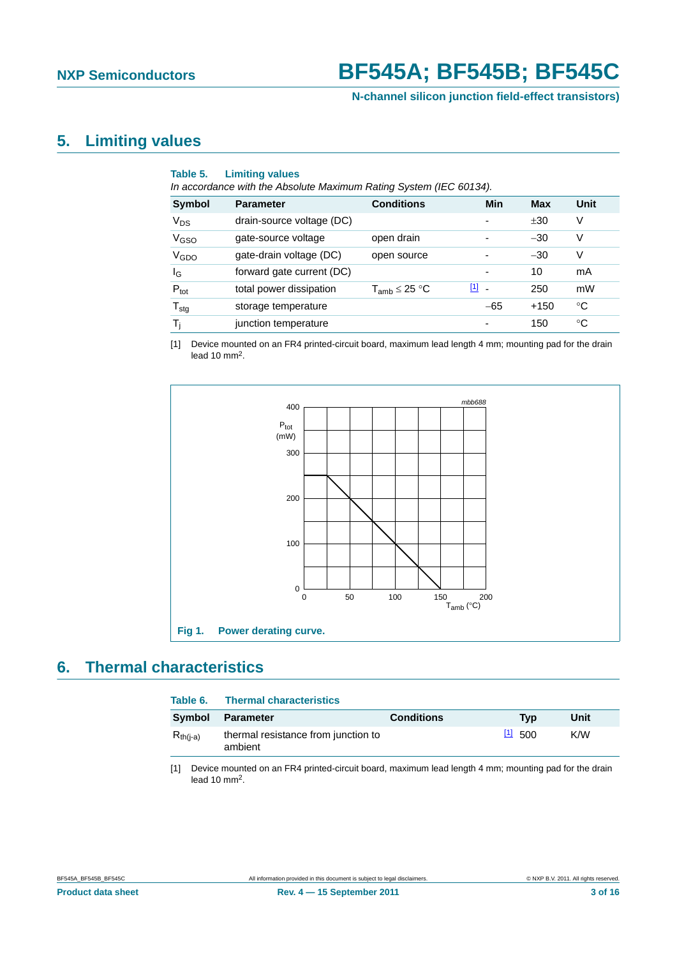## <span id="page-2-2"></span>**5. Limiting values**

| Table 5.         | <b>Limiting values</b><br>In accordance with the Absolute Maximum Rating System (IEC 60134). |                      |                                   |            |             |
|------------------|----------------------------------------------------------------------------------------------|----------------------|-----------------------------------|------------|-------------|
| <b>Symbol</b>    | <b>Parameter</b>                                                                             | <b>Conditions</b>    | Min                               | <b>Max</b> | <b>Unit</b> |
| $V_{DS}$         | drain-source voltage (DC)                                                                    |                      | ۰                                 | ±30        | V           |
| V <sub>GSO</sub> | gate-source voltage                                                                          | open drain           | ٠                                 | $-30$      | V           |
| V <sub>GDO</sub> | gate-drain voltage (DC)                                                                      | open source          | ٠                                 | $-30$      | V           |
| l <sub>G</sub>   | forward gate current (DC)                                                                    |                      |                                   | 10         | mA          |
| $P_{\text{tot}}$ | total power dissipation                                                                      | $T_{amb} \leq 25 °C$ | $[1]$<br>$\overline{\phantom{a}}$ | 250        | mW          |
| $T_{\text{stg}}$ | storage temperature                                                                          |                      | $-65$                             | $+150$     | °C          |
| $T_i$            | junction temperature                                                                         |                      | ۰                                 | 150        | °C          |

<span id="page-2-0"></span>[1] Device mounted on an FR4 printed-circuit board, maximum lead length 4 mm; mounting pad for the drain lead 10 mm2.



## <span id="page-2-3"></span>**6. Thermal characteristics**

| Table 6.      | <b>Thermal characteristics</b>                 |                   |        |      |
|---------------|------------------------------------------------|-------------------|--------|------|
| Symbol        | Parameter                                      | <b>Conditions</b> | Tvɒ    | Unit |
| $R_{th(i-a)}$ | thermal resistance from junction to<br>ambient |                   | 11,500 | K/W  |

<span id="page-2-1"></span>[1] Device mounted on an FR4 printed-circuit board, maximum lead length 4 mm; mounting pad for the drain lead 10 mm2.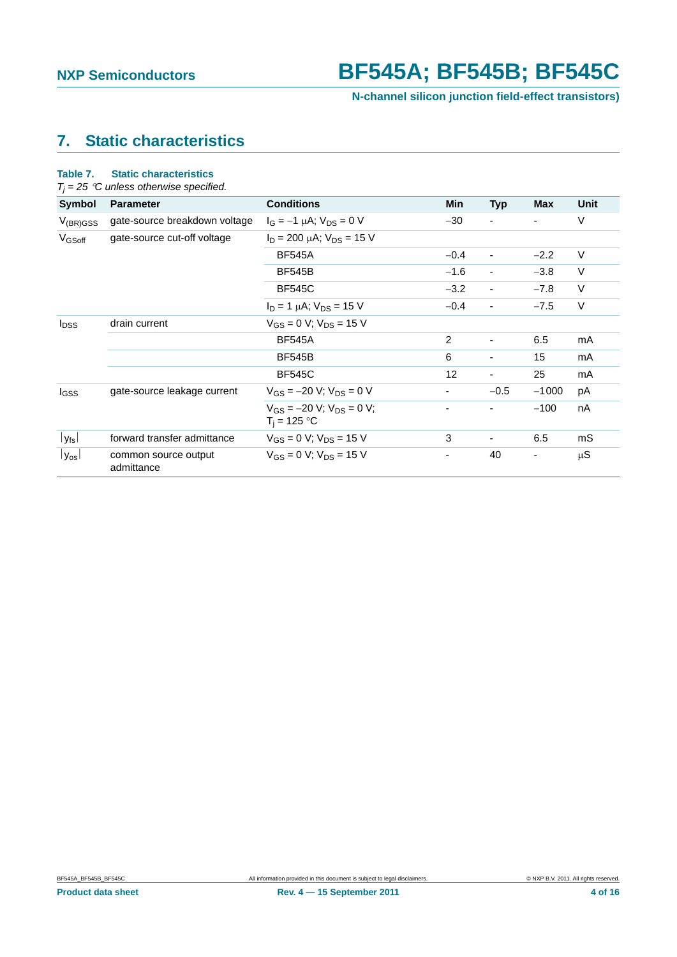## <span id="page-3-0"></span>**7. Static characteristics**

| Table 7. | <b>Static characteristics</b>             |
|----------|-------------------------------------------|
|          | $T_i = 25$ °C unless otherwise specified. |

| Symbol             | <b>Parameter</b>                   | <b>Conditions</b>                                     | Min    | <b>Typ</b>               | <b>Max</b>               | Unit    |
|--------------------|------------------------------------|-------------------------------------------------------|--------|--------------------------|--------------------------|---------|
| $V_{(BR)GSS}$      | gate-source breakdown voltage      | $I_G = -1 \mu A$ ; $V_{DS} = 0 V$                     | $-30$  |                          | $\blacksquare$           | $\vee$  |
| V <sub>GSoff</sub> | gate-source cut-off voltage        | $I_D = 200 \mu A$ ; $V_{DS} = 15 V$                   |        |                          |                          |         |
|                    |                                    | <b>BF545A</b>                                         | $-0.4$ | ٠                        | $-2.2$                   | $\vee$  |
|                    |                                    | <b>BF545B</b>                                         | $-1.6$ | ÷                        | $-3.8$                   | $\vee$  |
|                    |                                    | <b>BF545C</b>                                         | $-3.2$ | $\overline{\phantom{a}}$ | $-7.8$                   | $\vee$  |
|                    |                                    | $I_D = 1 \mu A$ ; $V_{DS} = 15 V$                     | $-0.4$ |                          | $-7.5$                   | $\vee$  |
| $I_{DSS}$          | drain current                      | $V_{GS} = 0$ V; $V_{DS} = 15$ V                       |        |                          |                          |         |
|                    |                                    | <b>BF545A</b>                                         | 2      | ٠                        | 6.5                      | mA      |
|                    |                                    | <b>BF545B</b>                                         | 6      | $\overline{\phantom{a}}$ | 15                       | mA      |
|                    |                                    | <b>BF545C</b>                                         | 12     | $\overline{\phantom{a}}$ | 25                       | mA      |
| I <sub>GSS</sub>   | gate-source leakage current        | $V_{GS}$ = -20 V; $V_{DS}$ = 0 V                      |        | $-0.5$                   | $-1000$                  | рA      |
|                    |                                    | $V_{GS} = -20 V$ ; $V_{DS} = 0 V$ ;<br>$T_i = 125 °C$ |        |                          | $-100$                   | nA      |
| $ y_{\text{fs}} $  | forward transfer admittance        | $V_{GS} = 0 V$ ; $V_{DS} = 15 V$                      | 3      | ۰                        | 6.5                      | mS      |
| $ y_{os} $         | common source output<br>admittance | $V_{GS} = 0 V$ ; $V_{DS} = 15 V$                      |        | 40                       | $\overline{\phantom{a}}$ | $\mu$ S |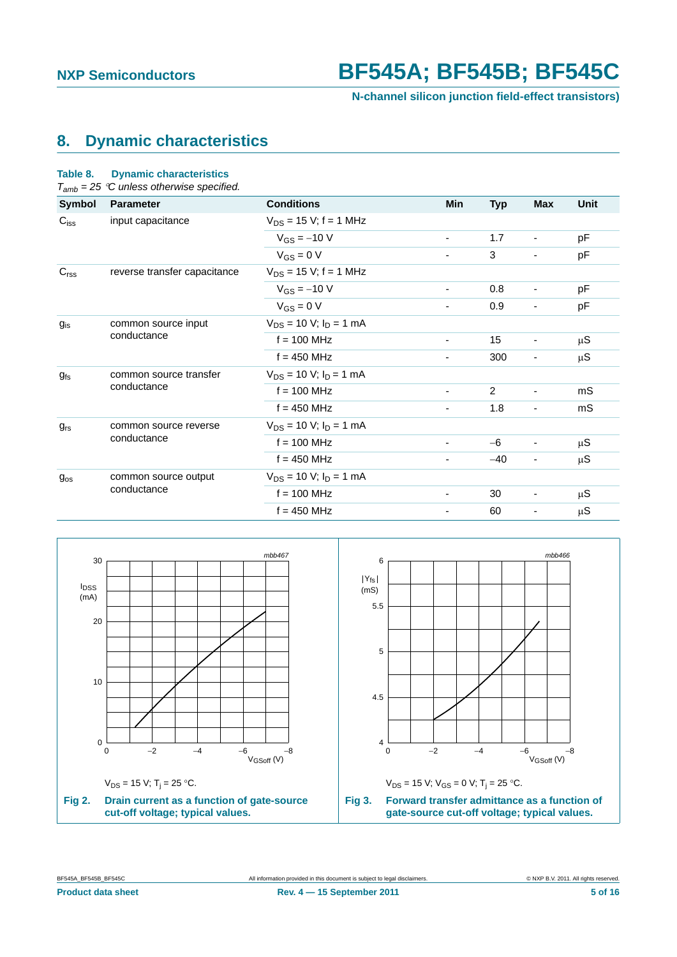**N-channel silicon junction field-effect transistors)**

## <span id="page-4-0"></span>**8. Dynamic characteristics**

| Table 8.         | <b>Dynamic characteristics</b><br>$T_{amb}$ = 25 °C unless otherwise specified. |                               |                          |            |                              |             |
|------------------|---------------------------------------------------------------------------------|-------------------------------|--------------------------|------------|------------------------------|-------------|
| Symbol           | <b>Parameter</b>                                                                | <b>Conditions</b>             | Min                      | <b>Typ</b> | <b>Max</b>                   | <b>Unit</b> |
| $C_{iss}$        | input capacitance                                                               | $V_{DS}$ = 15 V; f = 1 MHz    |                          |            |                              |             |
|                  |                                                                                 | $V_{GS} = -10 V$              |                          | 1.7        |                              | pF          |
|                  |                                                                                 | $V_{GS} = 0 V$                |                          | 3          | ٠                            | pF          |
| C <sub>rss</sub> | reverse transfer capacitance                                                    | $V_{DS}$ = 15 V; f = 1 MHz    |                          |            |                              |             |
|                  |                                                                                 | $V_{GS} = -10 V$              |                          | 0.8        |                              | pF          |
|                  |                                                                                 | $V_{GS} = 0 V$                | $\overline{\phantom{0}}$ | 0.9        | ٠                            | pF          |
| $g_{is}$         | common source input<br>conductance                                              | $V_{DS}$ = 10 V; $I_D$ = 1 mA |                          |            |                              |             |
|                  |                                                                                 | $f = 100$ MHz                 |                          | 15         |                              | $\mu S$     |
|                  |                                                                                 | $f = 450$ MHz                 |                          | 300        | ٠                            | μS          |
| $g_{fs}$         | common source transfer<br>conductance                                           | $V_{DS}$ = 10 V; $I_D$ = 1 mA |                          |            |                              |             |
|                  |                                                                                 | $f = 100$ MHz                 | $\overline{\phantom{a}}$ | 2          | $\qquad \qquad \blacksquare$ | mS          |
|                  |                                                                                 | $f = 450$ MHz                 | $\overline{\phantom{a}}$ | 1.8        | $\overline{\phantom{a}}$     | mS          |
| $g_{rs}$         | common source reverse                                                           | $V_{DS}$ = 10 V; $I_D$ = 1 mA |                          |            |                              |             |
|                  | conductance                                                                     | $f = 100$ MHz                 |                          | $-6$       |                              | $\mu S$     |
|                  |                                                                                 | $f = 450$ MHz                 |                          | $-40$      | ٠                            | μS          |
| $g_{os}$         | common source output                                                            | $V_{DS}$ = 10 V; $I_D$ = 1 mA |                          |            |                              |             |
|                  | conductance                                                                     | $f = 100$ MHz                 |                          | 30         | $\overline{a}$               | $\mu S$     |
|                  |                                                                                 | $f = 450$ MHz                 |                          | 60         |                              | μS          |

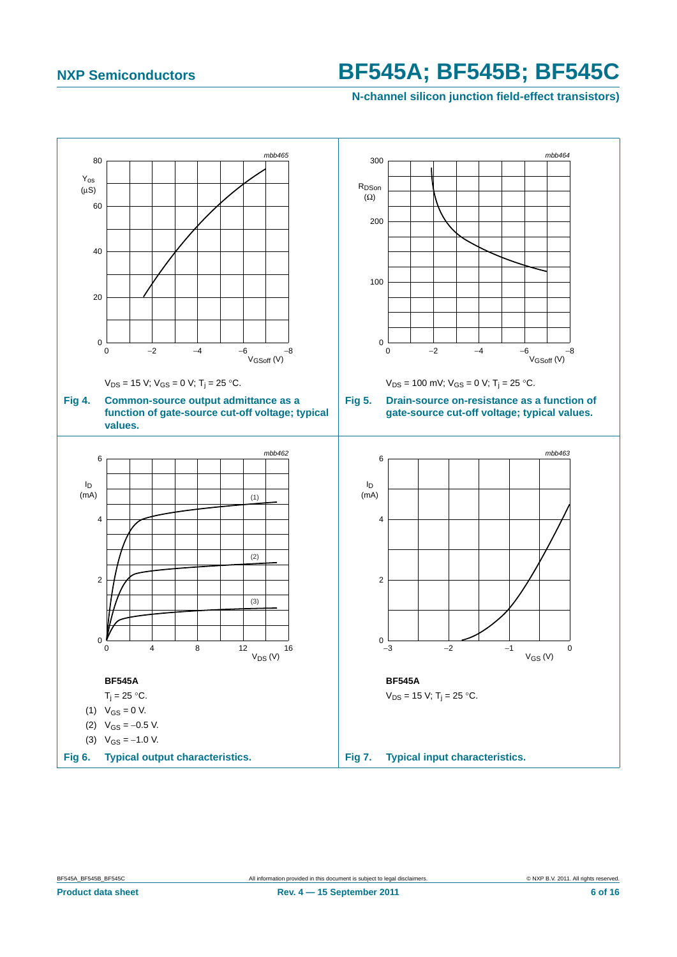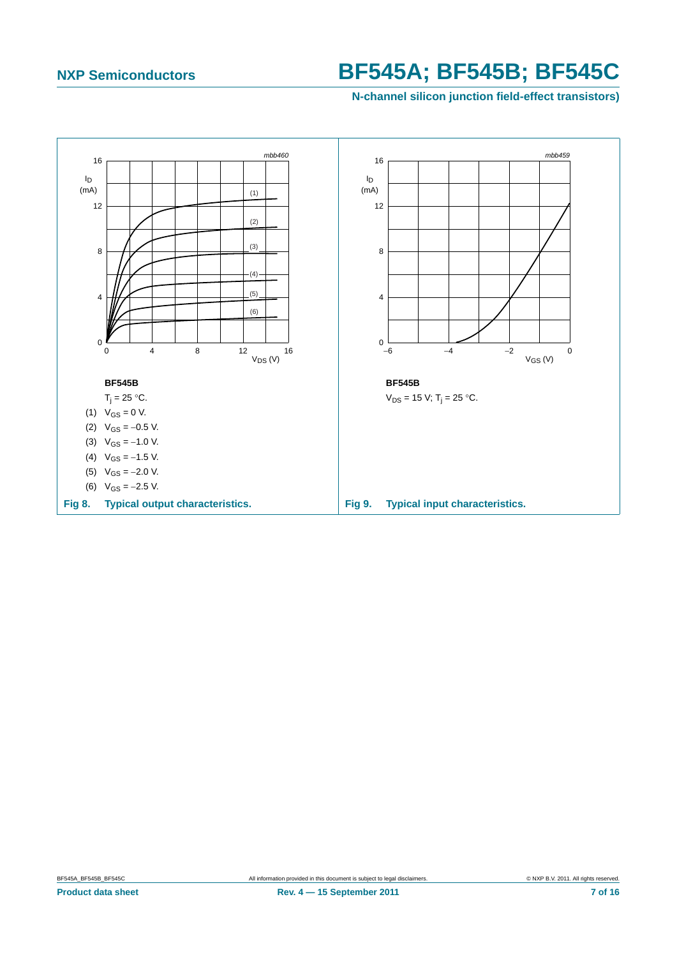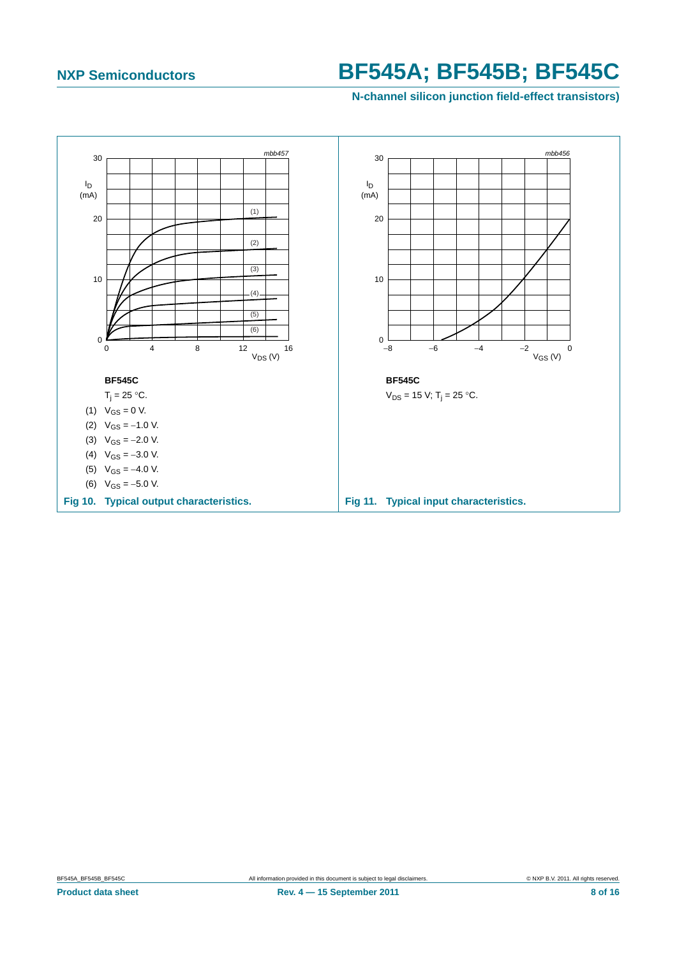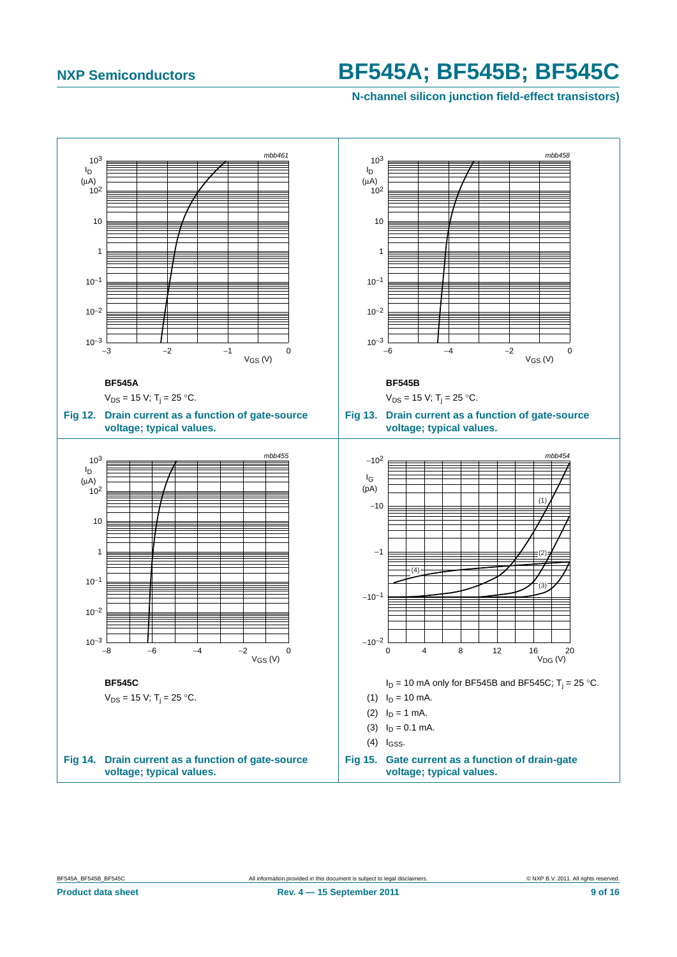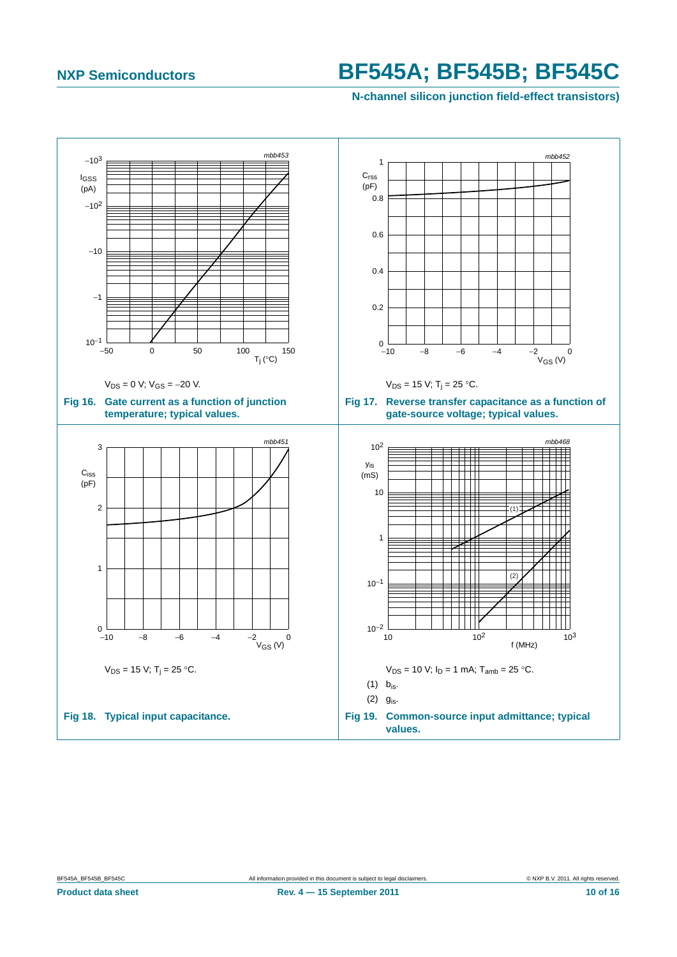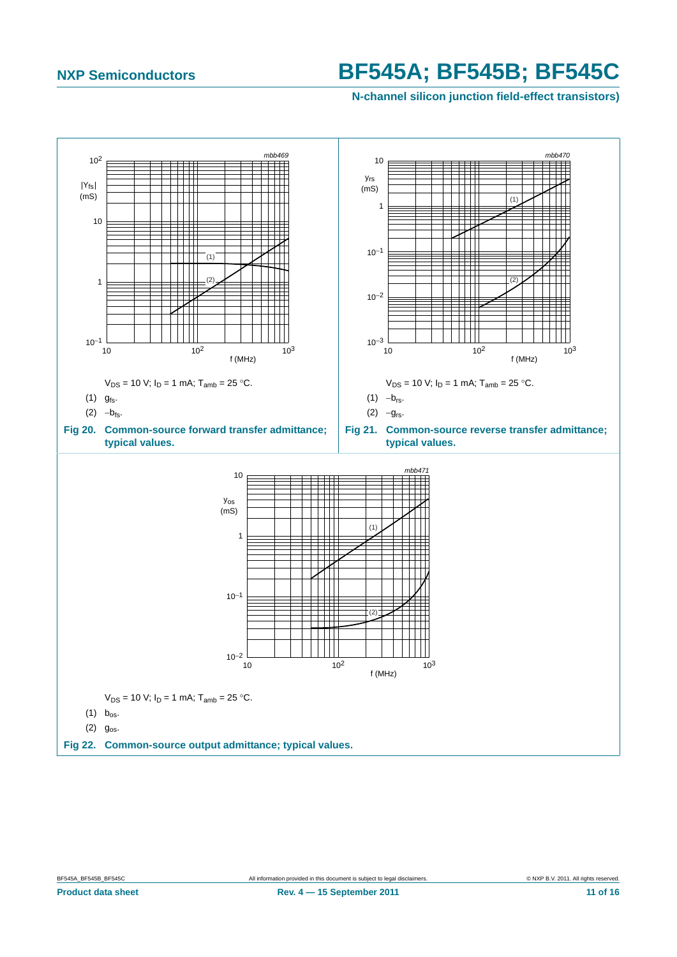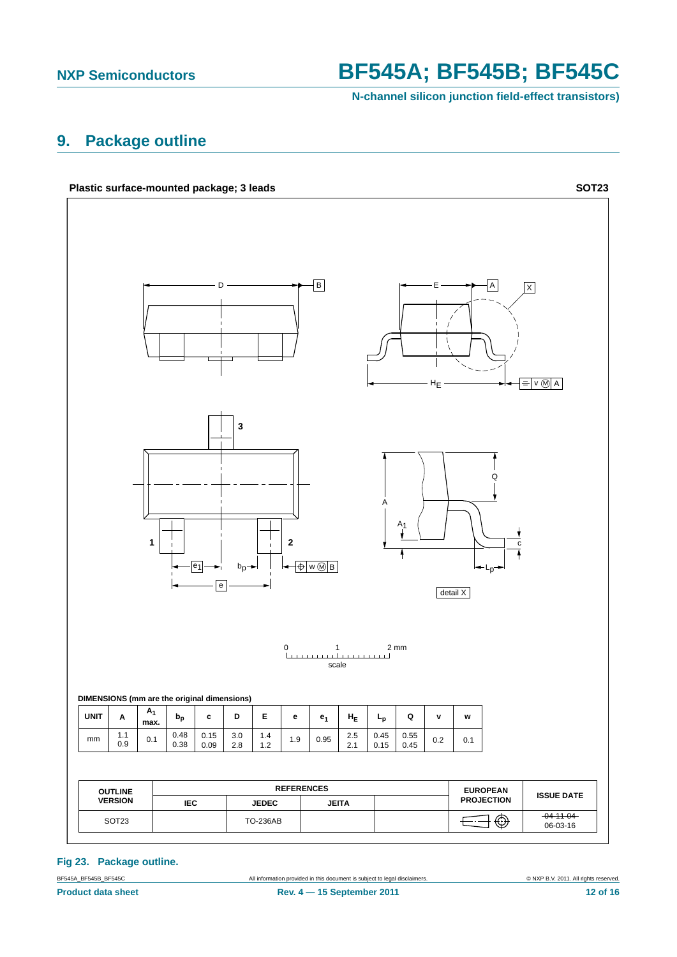**N-channel silicon junction field-effect transistors)**

## <span id="page-11-0"></span>**9. Package outline**



#### **Fig 23. Package outline.**

BF545A\_BF545B\_BF545C All information provided in this document is subject to legal disclaimers. © NXP B.V. 2011. All rights reserved.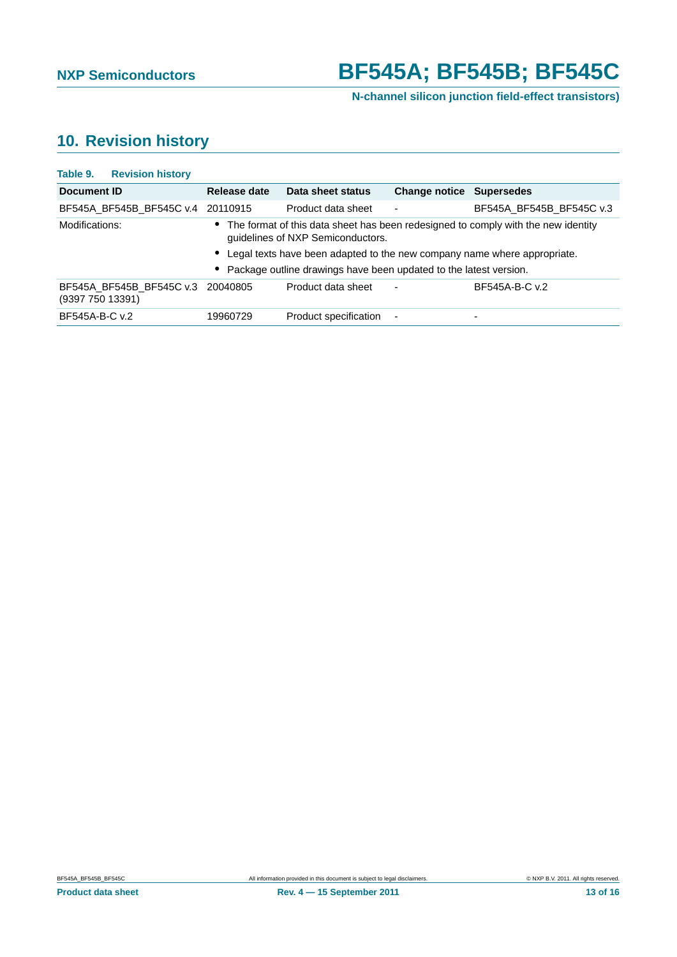## <span id="page-12-0"></span>**10. Revision history**

| Table 9.<br><b>Revision history</b>                   |              |                                                                            |                                 |                                                                                   |
|-------------------------------------------------------|--------------|----------------------------------------------------------------------------|---------------------------------|-----------------------------------------------------------------------------------|
| Document ID                                           | Release date | Data sheet status                                                          | <b>Change notice Supersedes</b> |                                                                                   |
| BF545A BF545B BF545C v.4                              | 20110915     | Product data sheet                                                         | $\blacksquare$                  | BF545A BF545B BF545C v.3                                                          |
| Modifications:                                        |              | guidelines of NXP Semiconductors.                                          |                                 | The format of this data sheet has been redesigned to comply with the new identity |
|                                                       |              | • Legal texts have been adapted to the new company name where appropriate. |                                 |                                                                                   |
|                                                       |              | • Package outline drawings have been updated to the latest version.        |                                 |                                                                                   |
| BF545A BF545B BF545C v.3 20040805<br>(9397 750 13391) |              | Product data sheet                                                         | $\blacksquare$                  | BF545A-B-C v.2                                                                    |
| BF545A-B-C v.2                                        | 19960729     | Product specification                                                      | $\overline{\phantom{a}}$        | ۰                                                                                 |
|                                                       |              |                                                                            |                                 |                                                                                   |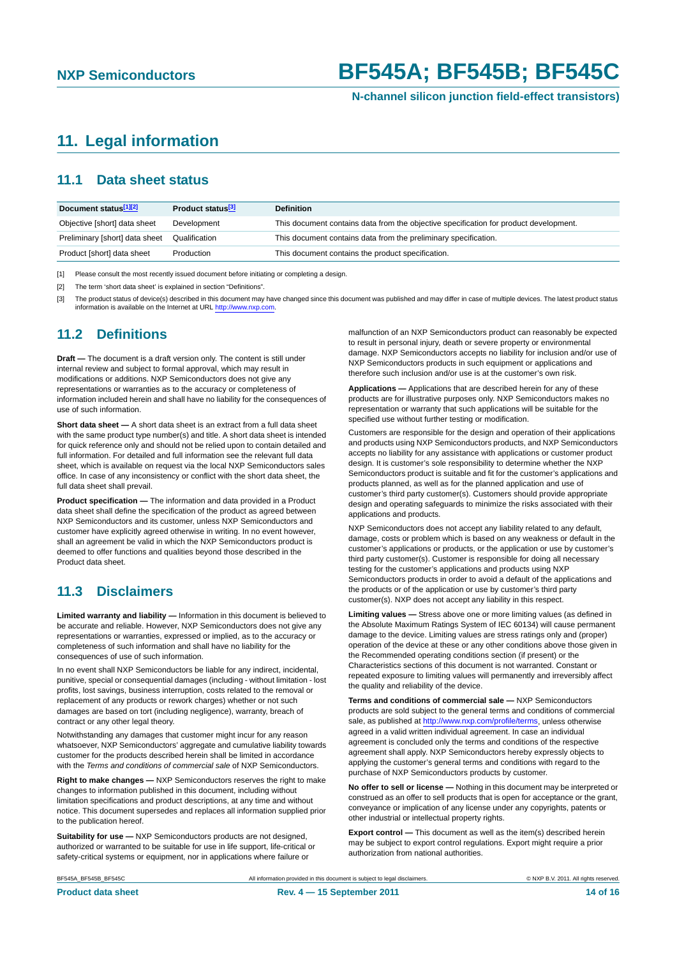## <span id="page-13-0"></span>**11. Legal information**

#### <span id="page-13-1"></span>**11.1 Data sheet status**

| Document status[1][2]          | <b>Product status</b> <sup>[3]</sup> | <b>Definition</b>                                                                     |
|--------------------------------|--------------------------------------|---------------------------------------------------------------------------------------|
| Objective [short] data sheet   | Development                          | This document contains data from the objective specification for product development. |
| Preliminary [short] data sheet | Qualification                        | This document contains data from the preliminary specification.                       |
| Product [short] data sheet     | Production                           | This document contains the product specification.                                     |

[1] Please consult the most recently issued document before initiating or completing a design.

[2] The term 'short data sheet' is explained in section "Definitions".

[3] The product status of device(s) described in this document may have changed since this document was published and may differ in case of multiple devices. The latest product status<br>information is available on the Intern

#### <span id="page-13-2"></span>**11.2 Definitions**

**Draft —** The document is a draft version only. The content is still under internal review and subject to formal approval, which may result in modifications or additions. NXP Semiconductors does not give any representations or warranties as to the accuracy or completeness of information included herein and shall have no liability for the consequences of use of such information.

**Short data sheet —** A short data sheet is an extract from a full data sheet with the same product type number(s) and title. A short data sheet is intended for quick reference only and should not be relied upon to contain detailed and full information. For detailed and full information see the relevant full data sheet, which is available on request via the local NXP Semiconductors sales office. In case of any inconsistency or conflict with the short data sheet, the full data sheet shall prevail.

**Product specification —** The information and data provided in a Product data sheet shall define the specification of the product as agreed between NXP Semiconductors and its customer, unless NXP Semiconductors and customer have explicitly agreed otherwise in writing. In no event however, shall an agreement be valid in which the NXP Semiconductors product is deemed to offer functions and qualities beyond those described in the Product data sheet.

### <span id="page-13-3"></span>**11.3 Disclaimers**

**Limited warranty and liability —** Information in this document is believed to be accurate and reliable. However, NXP Semiconductors does not give any representations or warranties, expressed or implied, as to the accuracy or completeness of such information and shall have no liability for the consequences of use of such information.

In no event shall NXP Semiconductors be liable for any indirect, incidental, punitive, special or consequential damages (including - without limitation - lost profits, lost savings, business interruption, costs related to the removal or replacement of any products or rework charges) whether or not such damages are based on tort (including negligence), warranty, breach of contract or any other legal theory.

Notwithstanding any damages that customer might incur for any reason whatsoever, NXP Semiconductors' aggregate and cumulative liability towards customer for the products described herein shall be limited in accordance with the *Terms and conditions of commercial sale* of NXP Semiconductors.

**Right to make changes —** NXP Semiconductors reserves the right to make changes to information published in this document, including without limitation specifications and product descriptions, at any time and without notice. This document supersedes and replaces all information supplied prior to the publication hereof.

**Suitability for use —** NXP Semiconductors products are not designed, authorized or warranted to be suitable for use in life support, life-critical or safety-critical systems or equipment, nor in applications where failure or

malfunction of an NXP Semiconductors product can reasonably be expected to result in personal injury, death or severe property or environmental damage. NXP Semiconductors accepts no liability for inclusion and/or use of NXP Semiconductors products in such equipment or applications and therefore such inclusion and/or use is at the customer's own risk.

**Applications —** Applications that are described herein for any of these products are for illustrative purposes only. NXP Semiconductors makes no representation or warranty that such applications will be suitable for the specified use without further testing or modification.

Customers are responsible for the design and operation of their applications and products using NXP Semiconductors products, and NXP Semiconductors accepts no liability for any assistance with applications or customer product design. It is customer's sole responsibility to determine whether the NXP Semiconductors product is suitable and fit for the customer's applications and products planned, as well as for the planned application and use of customer's third party customer(s). Customers should provide appropriate design and operating safeguards to minimize the risks associated with their applications and products.

NXP Semiconductors does not accept any liability related to any default, damage, costs or problem which is based on any weakness or default in the customer's applications or products, or the application or use by customer's third party customer(s). Customer is responsible for doing all necessary testing for the customer's applications and products using NXP Semiconductors products in order to avoid a default of the applications and the products or of the application or use by customer's third party customer(s). NXP does not accept any liability in this respect.

**Limiting values —** Stress above one or more limiting values (as defined in the Absolute Maximum Ratings System of IEC 60134) will cause permanent damage to the device. Limiting values are stress ratings only and (proper) operation of the device at these or any other conditions above those given in the Recommended operating conditions section (if present) or the Characteristics sections of this document is not warranted. Constant or repeated exposure to limiting values will permanently and irreversibly affect the quality and reliability of the device.

**Terms and conditions of commercial sale —** NXP Semiconductors products are sold subject to the general terms and conditions of commercial sale, as published at<http://www.nxp.com/profile/terms>, unless otherwise agreed in a valid written individual agreement. In case an individual agreement is concluded only the terms and conditions of the respective agreement shall apply. NXP Semiconductors hereby expressly objects to applying the customer's general terms and conditions with regard to the purchase of NXP Semiconductors products by customer.

**No offer to sell or license —** Nothing in this document may be interpreted or construed as an offer to sell products that is open for acceptance or the grant, conveyance or implication of any license under any copyrights, patents or other industrial or intellectual property rights.

**Export control —** This document as well as the item(s) described herein may be subject to export control regulations. Export might require a prior authorization from national authorities.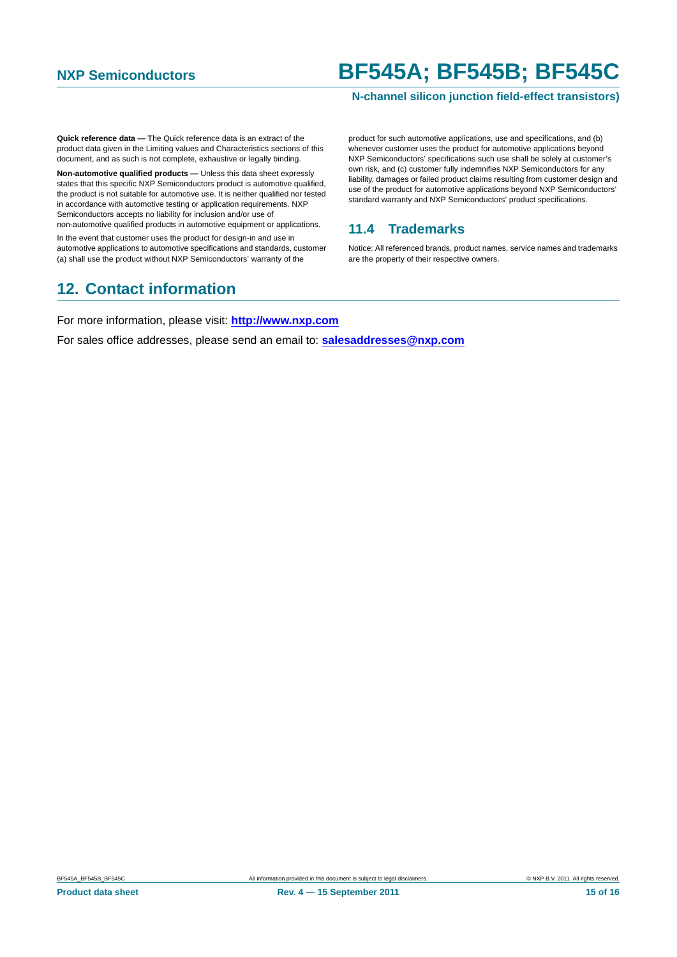**N-channel silicon junction field-effect transistors)**

**Quick reference data —** The Quick reference data is an extract of the product data given in the Limiting values and Characteristics sections of this document, and as such is not complete, exhaustive or legally binding.

**Non-automotive qualified products —** Unless this data sheet expressly states that this specific NXP Semiconductors product is automotive qualified, the product is not suitable for automotive use. It is neither qualified nor tested in accordance with automotive testing or application requirements. NXP Semiconductors accepts no liability for inclusion and/or use of non-automotive qualified products in automotive equipment or applications.

In the event that customer uses the product for design-in and use in automotive applications to automotive specifications and standards, customer (a) shall use the product without NXP Semiconductors' warranty of the

## <span id="page-14-1"></span>**12. Contact information**

product for such automotive applications, use and specifications, and (b) whenever customer uses the product for automotive applications beyond NXP Semiconductors' specifications such use shall be solely at customer's own risk, and (c) customer fully indemnifies NXP Semiconductors for any liability, damages or failed product claims resulting from customer design and use of the product for automotive applications beyond NXP Semiconductors' standard warranty and NXP Semiconductors' product specifications.

### <span id="page-14-0"></span>**11.4 Trademarks**

Notice: All referenced brands, product names, service names and trademarks are the property of their respective owners.

For more information, please visit: **http://www.nxp.com**

For sales office addresses, please send an email to: **salesaddresses@nxp.com**